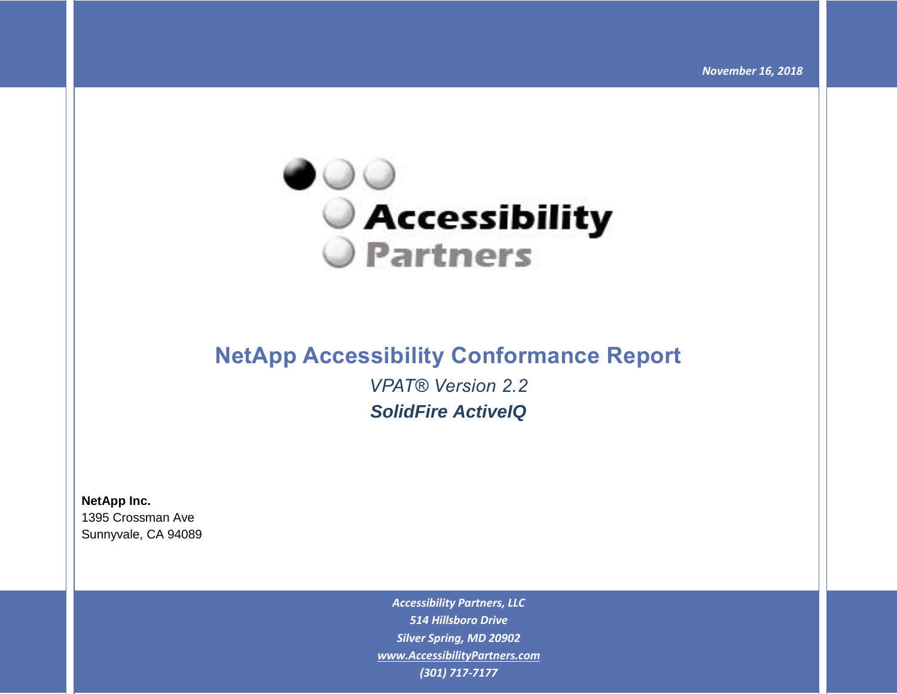

# **NetApp Accessibility Conformance Report**

*VPAT® Version 2.2 SolidFire ActiveIQ*

**NetApp Inc.** 1395 Crossman Ave Sunnyvale, CA 94089

> *Accessibility Partners, LLC 514 Hillsboro Drive Silver Spring, MD 20902 [www.AccessibilityPartners.com](http://www.accessibilitypartners.com/) (301) 717-7177*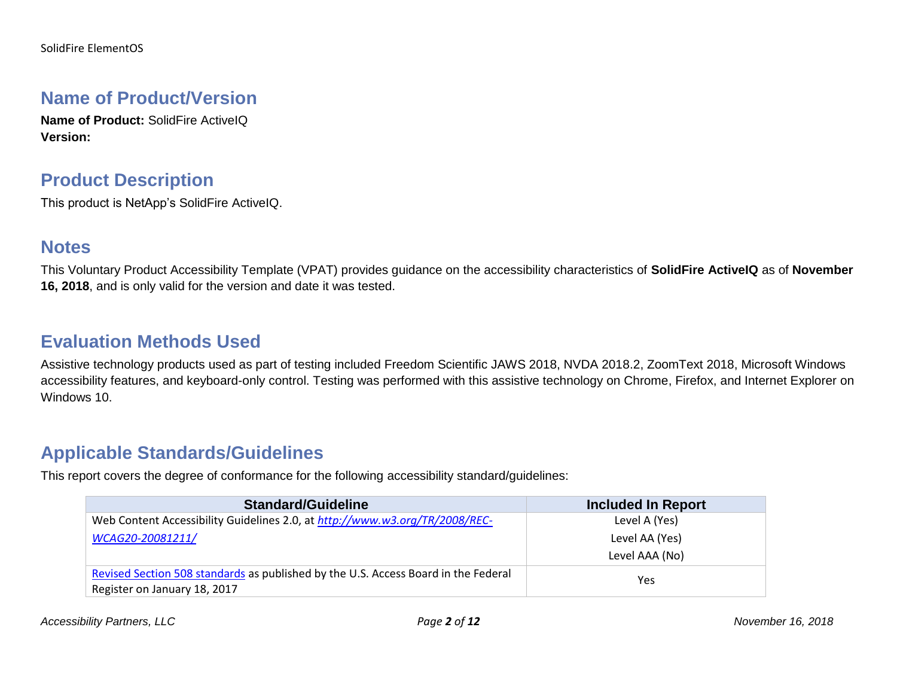#### **Name of Product/Version**

**Name of Product:** SolidFire ActiveIQ **Version:**

#### **Product Description**

This product is NetApp's SolidFire ActiveIQ.

#### **Notes**

This Voluntary Product Accessibility Template (VPAT) provides guidance on the accessibility characteristics of **SolidFire ActiveIQ** as of **November 16, 2018**, and is only valid for the version and date it was tested.

### **Evaluation Methods Used**

Assistive technology products used as part of testing included Freedom Scientific JAWS 2018, NVDA 2018.2, ZoomText 2018, Microsoft Windows accessibility features, and keyboard-only control. Testing was performed with this assistive technology on Chrome, Firefox, and Internet Explorer on Windows 10.

#### **Applicable Standards/Guidelines**

This report covers the degree of conformance for the following accessibility standard/guidelines:

| <b>Standard/Guideline</b>                                                                                          | <b>Included In Report</b> |
|--------------------------------------------------------------------------------------------------------------------|---------------------------|
| Web Content Accessibility Guidelines 2.0, at http://www.w3.org/TR/2008/REC-                                        | Level A (Yes)             |
| WCAG20-20081211/                                                                                                   | Level AA (Yes)            |
|                                                                                                                    | Level AAA (No)            |
| Revised Section 508 standards as published by the U.S. Access Board in the Federal<br>Register on January 18, 2017 | Yes                       |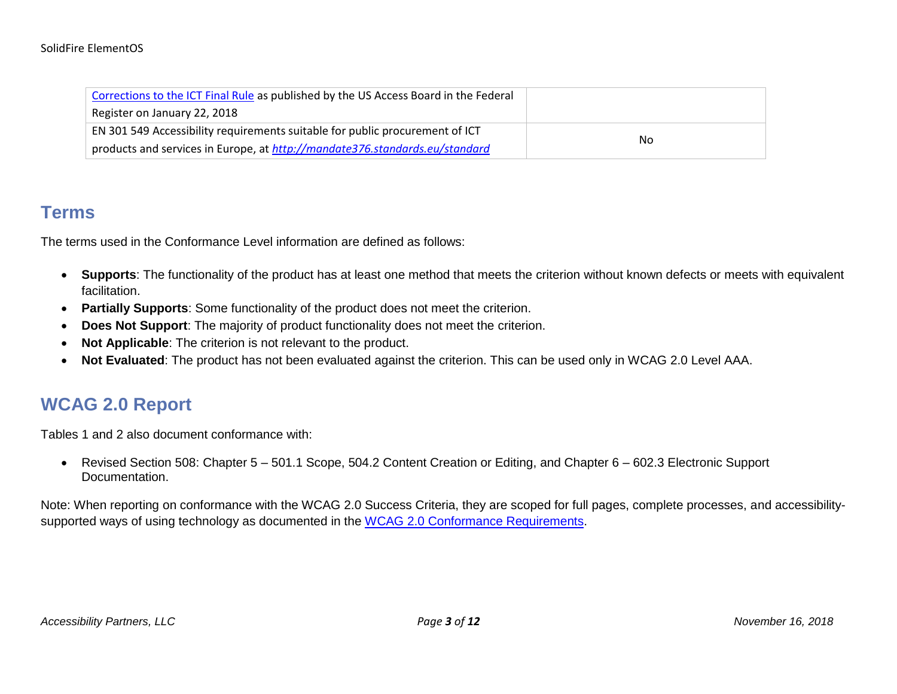#### SolidFire ElementOS

| Corrections to the ICT Final Rule as published by the US Access Board in the Federal |    |
|--------------------------------------------------------------------------------------|----|
| Register on January 22, 2018                                                         |    |
| EN 301 549 Accessibility requirements suitable for public procurement of ICT         |    |
| products and services in Europe, at http://mandate376.standards.eu/standard          | No |

#### **Terms**

The terms used in the Conformance Level information are defined as follows:

- **Supports**: The functionality of the product has at least one method that meets the criterion without known defects or meets with equivalent facilitation.
- **Partially Supports**: Some functionality of the product does not meet the criterion.
- **Does Not Support**: The majority of product functionality does not meet the criterion.
- **Not Applicable**: The criterion is not relevant to the product.
- **Not Evaluated**: The product has not been evaluated against the criterion. This can be used only in WCAG 2.0 Level AAA.

### **WCAG 2.0 Report**

Tables 1 and 2 also document conformance with:

• Revised Section 508: Chapter 5 – 501.1 Scope, 504.2 Content Creation or Editing, and Chapter 6 – 602.3 Electronic Support Documentation.

Note: When reporting on conformance with the WCAG 2.0 Success Criteria, they are scoped for full pages, complete processes, and accessibilitysupported ways of using technology as documented in the [WCAG 2.0 Conformance Requirements.](https://www.w3.org/TR/WCAG20/#conformance-reqs)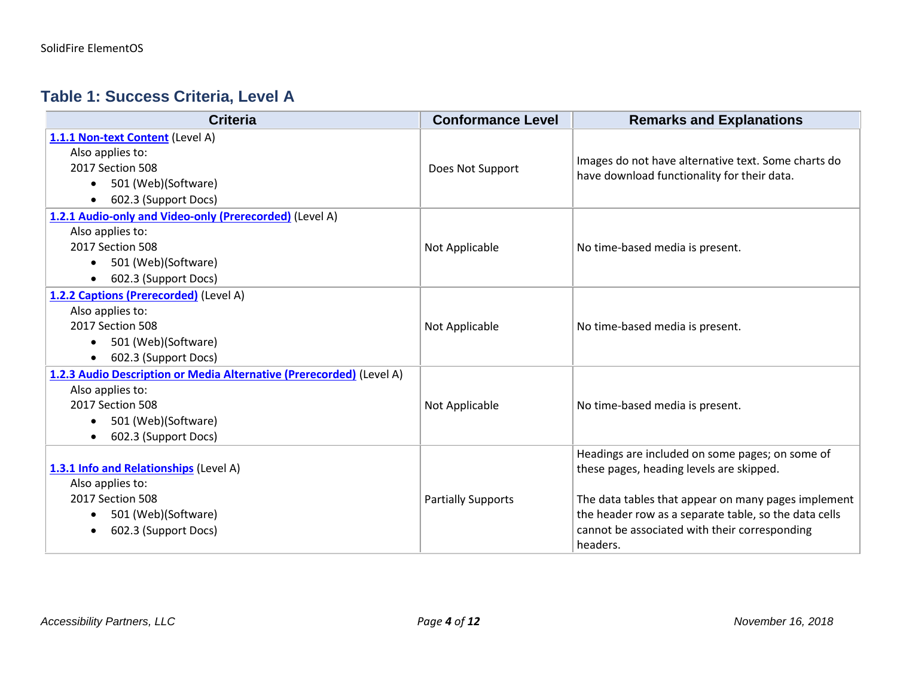#### **Table 1: Success Criteria, Level A**

| <b>Criteria</b>                                                                                                                                                          | <b>Conformance Level</b>  | <b>Remarks and Explanations</b>                                                                                                                                                                                                                                          |
|--------------------------------------------------------------------------------------------------------------------------------------------------------------------------|---------------------------|--------------------------------------------------------------------------------------------------------------------------------------------------------------------------------------------------------------------------------------------------------------------------|
| 1.1.1 Non-text Content (Level A)<br>Also applies to:<br>2017 Section 508<br>501 (Web)(Software)<br>602.3 (Support Docs)                                                  | Does Not Support          | Images do not have alternative text. Some charts do<br>have download functionality for their data.                                                                                                                                                                       |
| 1.2.1 Audio-only and Video-only (Prerecorded) (Level A)<br>Also applies to:<br>2017 Section 508<br>501 (Web)(Software)<br>$\bullet$<br>602.3 (Support Docs)              | Not Applicable            | No time-based media is present.                                                                                                                                                                                                                                          |
| 1.2.2 Captions (Prerecorded) (Level A)<br>Also applies to:<br>2017 Section 508<br>501 (Web)(Software)<br>602.3 (Support Docs)                                            | Not Applicable            | No time-based media is present.                                                                                                                                                                                                                                          |
| 1.2.3 Audio Description or Media Alternative (Prerecorded) (Level A)<br>Also applies to:<br>2017 Section 508<br>501 (Web)(Software)<br>$\bullet$<br>602.3 (Support Docs) | Not Applicable            | No time-based media is present.                                                                                                                                                                                                                                          |
| 1.3.1 Info and Relationships (Level A)<br>Also applies to:<br>2017 Section 508<br>501 (Web)(Software)<br>602.3 (Support Docs)                                            | <b>Partially Supports</b> | Headings are included on some pages; on some of<br>these pages, heading levels are skipped.<br>The data tables that appear on many pages implement<br>the header row as a separate table, so the data cells<br>cannot be associated with their corresponding<br>headers. |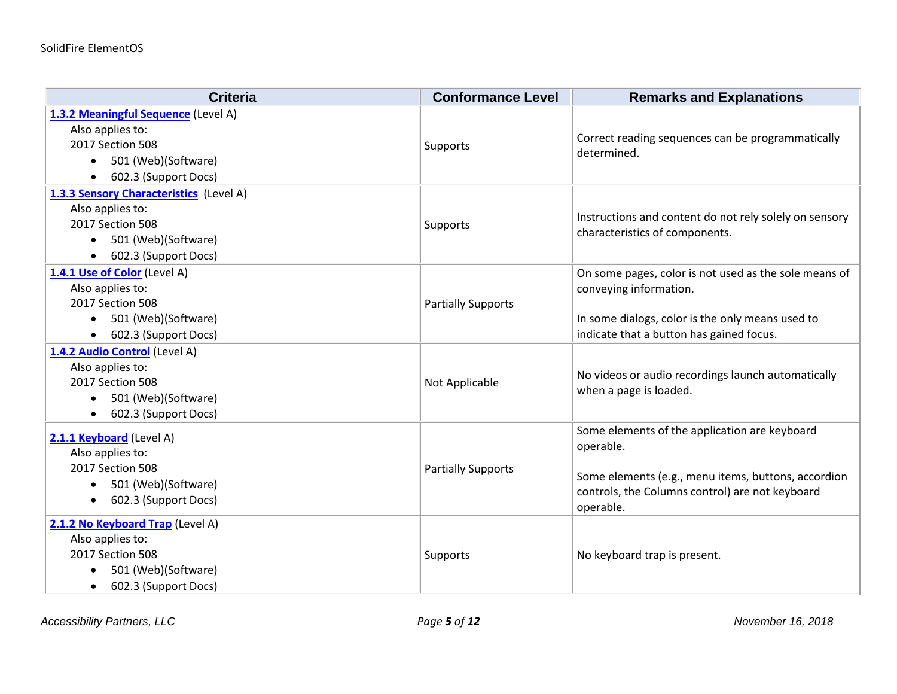| <b>Criteria</b>                                | <b>Conformance Level</b>  | <b>Remarks and Explanations</b>                            |
|------------------------------------------------|---------------------------|------------------------------------------------------------|
| 1.3.2 Meaningful Sequence (Level A)            |                           |                                                            |
| Also applies to:                               |                           | Correct reading sequences can be programmatically          |
| 2017 Section 508                               | Supports                  | determined.                                                |
| 501 (Web)(Software)<br>$\bullet$               |                           |                                                            |
| 602.3 (Support Docs)<br>$\bullet$              |                           |                                                            |
| 1.3.3 Sensory Characteristics (Level A)        |                           |                                                            |
| Also applies to:                               |                           | Instructions and content do not rely solely on sensory     |
| 2017 Section 508                               | Supports                  | characteristics of components.                             |
| 501 (Web)(Software)<br>$\bullet$               |                           |                                                            |
| 602.3 (Support Docs)<br>$\bullet$              |                           |                                                            |
| 1.4.1 Use of Color (Level A)                   |                           | On some pages, color is not used as the sole means of      |
| Also applies to:                               |                           | conveying information.                                     |
| 2017 Section 508                               | <b>Partially Supports</b> |                                                            |
| 501 (Web)(Software)<br>$\bullet$               |                           | In some dialogs, color is the only means used to           |
| 602.3 (Support Docs)<br>$\bullet$              |                           | indicate that a button has gained focus.                   |
| 1.4.2 Audio Control (Level A)                  |                           |                                                            |
| Also applies to:<br>2017 Section 508           |                           | No videos or audio recordings launch automatically         |
| 501 (Web)(Software)                            | Not Applicable            | when a page is loaded.                                     |
| $\bullet$<br>602.3 (Support Docs)<br>$\bullet$ |                           |                                                            |
|                                                |                           |                                                            |
| 2.1.1 Keyboard (Level A)                       |                           | Some elements of the application are keyboard<br>operable. |
| Also applies to:                               |                           |                                                            |
| 2017 Section 508                               | <b>Partially Supports</b> | Some elements (e.g., menu items, buttons, accordion        |
| 501 (Web)(Software)<br>$\bullet$               |                           | controls, the Columns control) are not keyboard            |
| 602.3 (Support Docs)<br>$\bullet$              |                           | operable.                                                  |
| 2.1.2 No Keyboard Trap (Level A)               |                           |                                                            |
| Also applies to:                               |                           |                                                            |
| 2017 Section 508                               | Supports                  | No keyboard trap is present.                               |
| 501 (Web)(Software)                            |                           |                                                            |
| 602.3 (Support Docs)<br>$\bullet$              |                           |                                                            |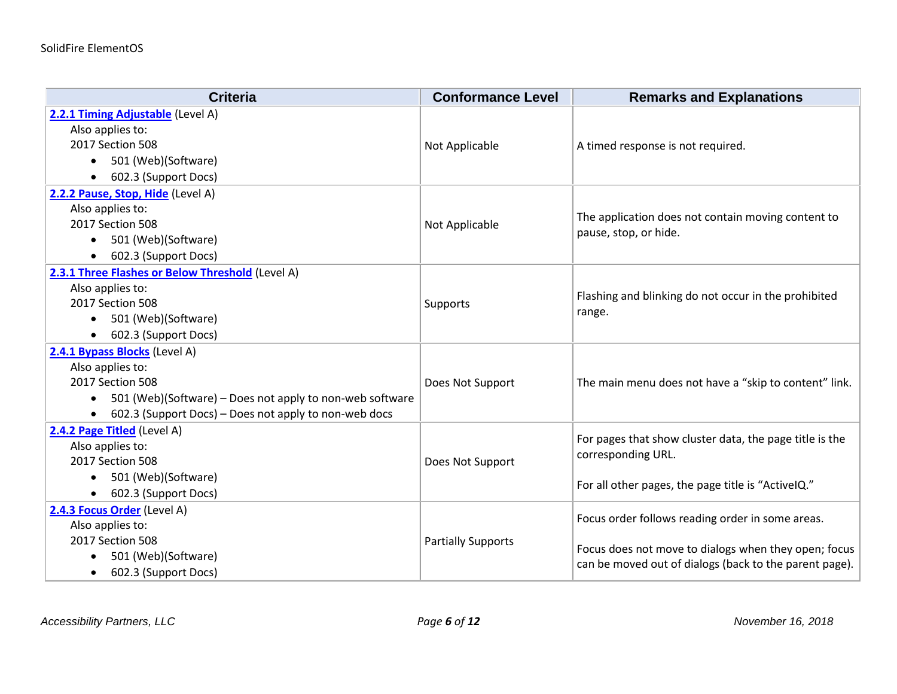| <b>Criteria</b>                                          | <b>Conformance Level</b>  | <b>Remarks and Explanations</b>                         |
|----------------------------------------------------------|---------------------------|---------------------------------------------------------|
| 2.2.1 Timing Adjustable (Level A)                        |                           |                                                         |
| Also applies to:                                         |                           |                                                         |
| 2017 Section 508                                         | Not Applicable            | A timed response is not required.                       |
| 501 (Web)(Software)                                      |                           |                                                         |
| 602.3 (Support Docs)                                     |                           |                                                         |
| 2.2.2 Pause, Stop, Hide (Level A)                        |                           |                                                         |
| Also applies to:                                         |                           | The application does not contain moving content to      |
| 2017 Section 508                                         | Not Applicable            | pause, stop, or hide.                                   |
| 501 (Web)(Software)                                      |                           |                                                         |
| 602.3 (Support Docs)                                     |                           |                                                         |
| 2.3.1 Three Flashes or Below Threshold (Level A)         |                           |                                                         |
| Also applies to:                                         |                           | Flashing and blinking do not occur in the prohibited    |
| 2017 Section 508                                         | Supports                  | range.                                                  |
| 501 (Web)(Software)                                      |                           |                                                         |
| 602.3 (Support Docs)                                     |                           |                                                         |
| 2.4.1 Bypass Blocks (Level A)                            |                           |                                                         |
| Also applies to:                                         |                           |                                                         |
| 2017 Section 508                                         | Does Not Support          | The main menu does not have a "skip to content" link.   |
| 501 (Web)(Software) – Does not apply to non-web software |                           |                                                         |
| 602.3 (Support Docs) – Does not apply to non-web docs    |                           |                                                         |
| 2.4.2 Page Titled (Level A)                              |                           | For pages that show cluster data, the page title is the |
| Also applies to:                                         |                           | corresponding URL.                                      |
| 2017 Section 508                                         | Does Not Support          |                                                         |
| 501 (Web)(Software)                                      |                           | For all other pages, the page title is "ActiveIQ."      |
| 602.3 (Support Docs)                                     |                           |                                                         |
| 2.4.3 Focus Order (Level A)                              |                           | Focus order follows reading order in some areas.        |
| Also applies to:                                         |                           |                                                         |
| 2017 Section 508                                         | <b>Partially Supports</b> | Focus does not move to dialogs when they open; focus    |
| 501 (Web)(Software)                                      |                           | can be moved out of dialogs (back to the parent page).  |
| 602.3 (Support Docs)                                     |                           |                                                         |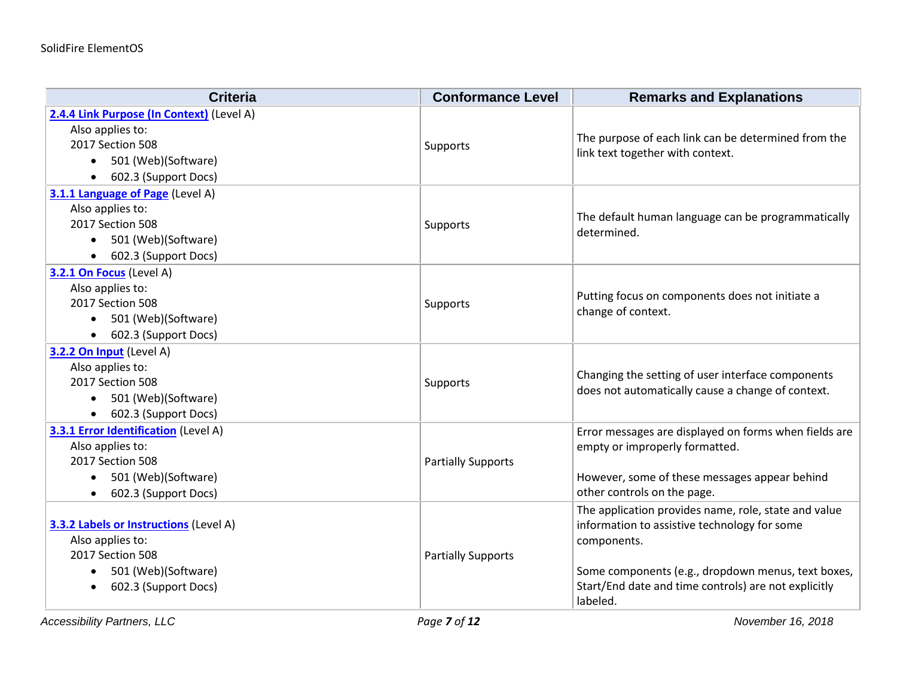| <b>Criteria</b>                               | <b>Conformance Level</b>  | <b>Remarks and Explanations</b>                       |
|-----------------------------------------------|---------------------------|-------------------------------------------------------|
| 2.4.4 Link Purpose (In Context) (Level A)     |                           |                                                       |
| Also applies to:                              |                           | The purpose of each link can be determined from the   |
| 2017 Section 508                              | Supports                  | link text together with context.                      |
| 501 (Web)(Software)<br>$\bullet$              |                           |                                                       |
| 602.3 (Support Docs)                          |                           |                                                       |
| 3.1.1 Language of Page (Level A)              |                           |                                                       |
| Also applies to:                              |                           | The default human language can be programmatically    |
| 2017 Section 508                              | Supports                  | determined.                                           |
| 501 (Web)(Software)<br>$\bullet$              |                           |                                                       |
| 602.3 (Support Docs)                          |                           |                                                       |
| 3.2.1 On Focus (Level A)                      |                           |                                                       |
| Also applies to:                              |                           | Putting focus on components does not initiate a       |
| 2017 Section 508                              | Supports                  | change of context.                                    |
| 501 (Web)(Software)                           |                           |                                                       |
| 602.3 (Support Docs)<br>$\bullet$             |                           |                                                       |
| 3.2.2 On Input (Level A)                      |                           |                                                       |
| Also applies to:                              |                           | Changing the setting of user interface components     |
| 2017 Section 508                              | Supports                  | does not automatically cause a change of context.     |
| 501 (Web)(Software)<br>$\bullet$              |                           |                                                       |
| 602.3 (Support Docs)<br>$\bullet$             |                           |                                                       |
| <b>3.3.1 Error Identification</b> (Level A)   |                           | Error messages are displayed on forms when fields are |
| Also applies to:                              |                           | empty or improperly formatted.                        |
| 2017 Section 508                              | <b>Partially Supports</b> |                                                       |
| 501 (Web)(Software)<br>$\bullet$              |                           | However, some of these messages appear behind         |
| 602.3 (Support Docs)                          |                           | other controls on the page.                           |
|                                               |                           | The application provides name, role, state and value  |
| <b>3.3.2 Labels or Instructions (Level A)</b> |                           | information to assistive technology for some          |
| Also applies to:                              |                           | components.                                           |
| 2017 Section 508                              | <b>Partially Supports</b> |                                                       |
| 501 (Web)(Software)<br>٠                      |                           | Some components (e.g., dropdown menus, text boxes,    |
| 602.3 (Support Docs)                          |                           | Start/End date and time controls) are not explicitly  |
|                                               |                           | labeled.                                              |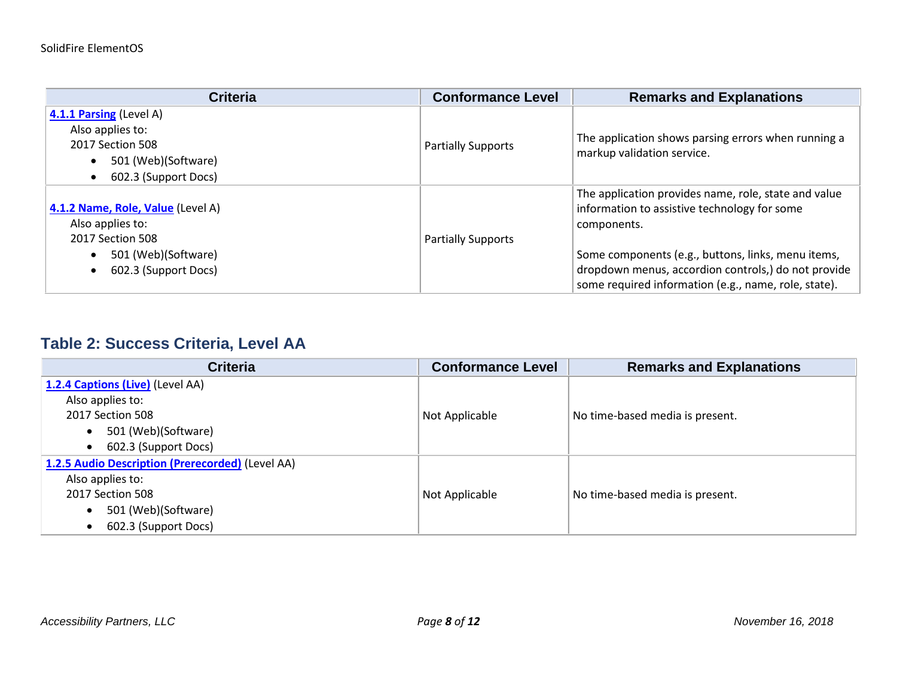| <b>Criteria</b>                                                                                                          | <b>Conformance Level</b>  | <b>Remarks and Explanations</b>                                                                                                                                                                                                                                                          |
|--------------------------------------------------------------------------------------------------------------------------|---------------------------|------------------------------------------------------------------------------------------------------------------------------------------------------------------------------------------------------------------------------------------------------------------------------------------|
| 4.1.1 Parsing (Level A)<br>Also applies to:<br>2017 Section 508<br>501 (Web)(Software)<br>602.3 (Support Docs)           | <b>Partially Supports</b> | The application shows parsing errors when running a<br>markup validation service.                                                                                                                                                                                                        |
| 4.1.2 Name, Role, Value (Level A)<br>Also applies to:<br>2017 Section 508<br>501 (Web)(Software)<br>602.3 (Support Docs) | <b>Partially Supports</b> | The application provides name, role, state and value<br>information to assistive technology for some<br>components.<br>Some components (e.g., buttons, links, menu items,<br>dropdown menus, accordion controls,) do not provide<br>some required information (e.g., name, role, state). |

#### **Table 2: Success Criteria, Level AA**

| <b>Criteria</b>                                  | <b>Conformance Level</b> | <b>Remarks and Explanations</b> |
|--------------------------------------------------|--------------------------|---------------------------------|
| 1.2.4 Captions (Live) (Level AA)                 |                          |                                 |
| Also applies to:                                 |                          |                                 |
| 2017 Section 508                                 | Not Applicable           | No time-based media is present. |
| 501 (Web)(Software)<br>$\bullet$                 |                          |                                 |
| 602.3 (Support Docs)<br>$\bullet$                |                          |                                 |
| 1.2.5 Audio Description (Prerecorded) (Level AA) |                          |                                 |
| Also applies to:                                 |                          |                                 |
| 2017 Section 508                                 | Not Applicable           | No time-based media is present. |
| 501 (Web)(Software)<br>$\bullet$                 |                          |                                 |
| 602.3 (Support Docs)<br>$\bullet$                |                          |                                 |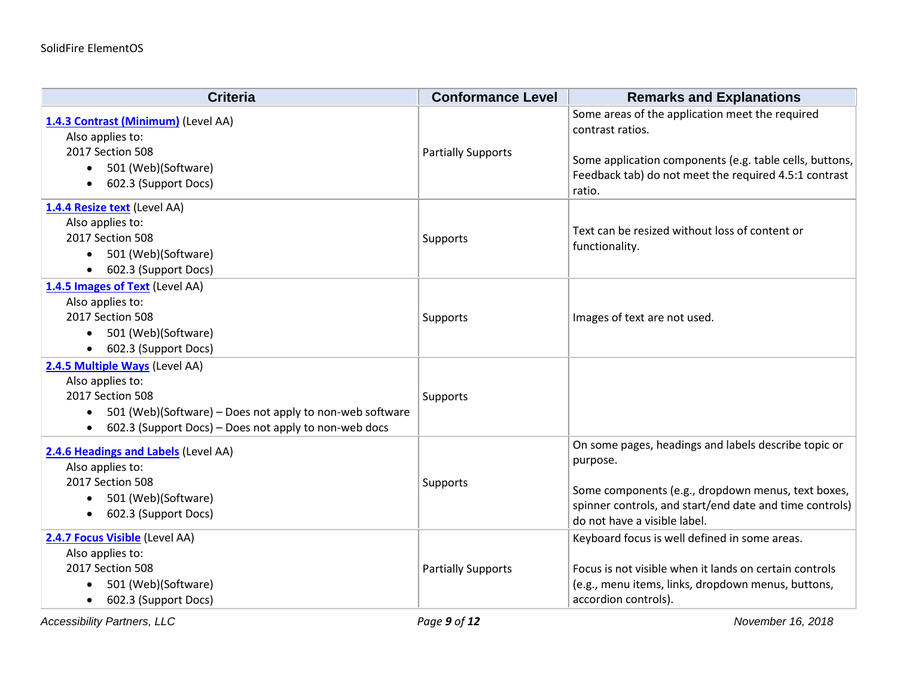| <b>Criteria</b>                                                                                                                                                                                                       | <b>Conformance Level</b>  | <b>Remarks and Explanations</b>                                                                                                                                                                                   |
|-----------------------------------------------------------------------------------------------------------------------------------------------------------------------------------------------------------------------|---------------------------|-------------------------------------------------------------------------------------------------------------------------------------------------------------------------------------------------------------------|
| 1.4.3 Contrast (Minimum) (Level AA)<br>Also applies to:<br>2017 Section 508<br>501 (Web)(Software)<br>$\bullet$<br>602.3 (Support Docs)<br>$\bullet$                                                                  | <b>Partially Supports</b> | Some areas of the application meet the required<br>contrast ratios.<br>Some application components (e.g. table cells, buttons,<br>Feedback tab) do not meet the required 4.5:1 contrast<br>ratio.                 |
| 1.4.4 Resize text (Level AA)<br>Also applies to:<br>2017 Section 508<br>• 501 (Web)(Software)<br>602.3 (Support Docs)                                                                                                 | Supports                  | Text can be resized without loss of content or<br>functionality.                                                                                                                                                  |
| 1.4.5 Images of Text (Level AA)<br>Also applies to:<br>2017 Section 508<br>501 (Web)(Software)<br>602.3 (Support Docs)<br>$\bullet$                                                                                   | Supports                  | Images of text are not used.                                                                                                                                                                                      |
| 2.4.5 Multiple Ways (Level AA)<br>Also applies to:<br>2017 Section 508<br>501 (Web)(Software) - Does not apply to non-web software<br>$\bullet$<br>602.3 (Support Docs) - Does not apply to non-web docs<br>$\bullet$ | Supports                  |                                                                                                                                                                                                                   |
| 2.4.6 Headings and Labels (Level AA)<br>Also applies to:<br>2017 Section 508<br>501 (Web)(Software)<br>$\bullet$<br>602.3 (Support Docs)<br>$\bullet$                                                                 | Supports                  | On some pages, headings and labels describe topic or<br>purpose.<br>Some components (e.g., dropdown menus, text boxes,<br>spinner controls, and start/end date and time controls)<br>do not have a visible label. |
| 2.4.7 Focus Visible (Level AA)<br>Also applies to:<br>2017 Section 508<br>501 (Web)(Software)<br>602.3 (Support Docs)                                                                                                 | <b>Partially Supports</b> | Keyboard focus is well defined in some areas.<br>Focus is not visible when it lands on certain controls<br>(e.g., menu items, links, dropdown menus, buttons,<br>accordion controls).                             |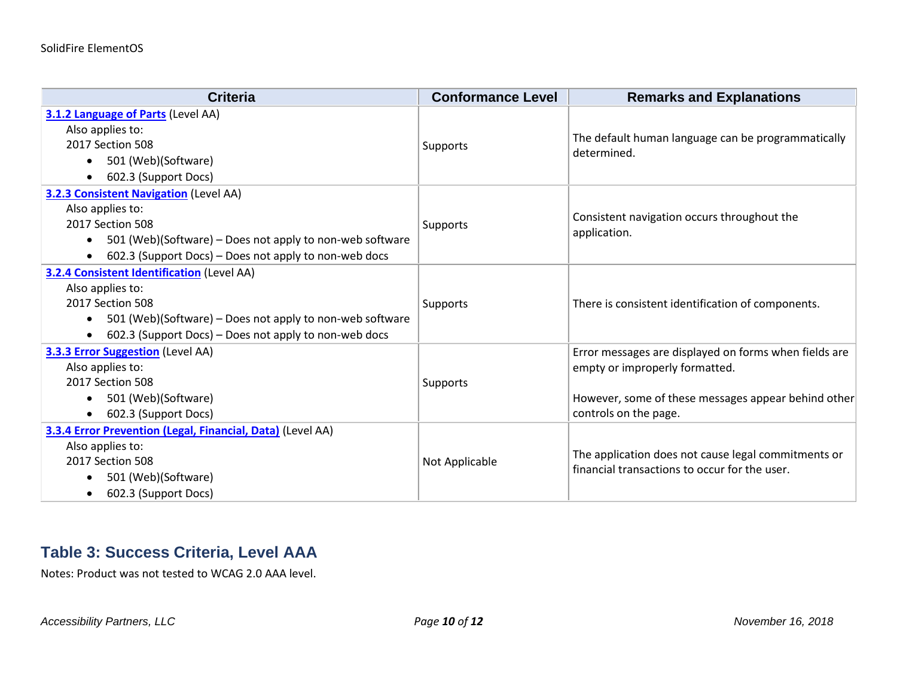| <b>Criteria</b>                                                       | <b>Conformance Level</b> | <b>Remarks and Explanations</b>                                   |
|-----------------------------------------------------------------------|--------------------------|-------------------------------------------------------------------|
| 3.1.2 Language of Parts (Level AA)                                    |                          |                                                                   |
| Also applies to:                                                      |                          |                                                                   |
| 2017 Section 508                                                      | Supports                 | The default human language can be programmatically<br>determined. |
| 501 (Web)(Software)<br>$\bullet$                                      |                          |                                                                   |
| 602.3 (Support Docs)                                                  |                          |                                                                   |
| <b>3.2.3 Consistent Navigation (Level AA)</b>                         |                          |                                                                   |
| Also applies to:                                                      |                          | Consistent navigation occurs throughout the                       |
| 2017 Section 508                                                      | Supports                 | application.                                                      |
| 501 (Web)(Software) – Does not apply to non-web software<br>$\bullet$ |                          |                                                                   |
| 602.3 (Support Docs) – Does not apply to non-web docs<br>$\bullet$    |                          |                                                                   |
| <b>3.2.4 Consistent Identification (Level AA)</b>                     |                          |                                                                   |
| Also applies to:                                                      |                          |                                                                   |
| 2017 Section 508                                                      | Supports                 | There is consistent identification of components.                 |
| 501 (Web)(Software) – Does not apply to non-web software<br>$\bullet$ |                          |                                                                   |
| 602.3 (Support Docs) – Does not apply to non-web docs                 |                          |                                                                   |
| <b>3.3.3 Error Suggestion (Level AA)</b>                              |                          | Error messages are displayed on forms when fields are             |
| Also applies to:                                                      |                          | empty or improperly formatted.                                    |
| 2017 Section 508                                                      | <b>Supports</b>          |                                                                   |
| 501 (Web)(Software)                                                   |                          | However, some of these messages appear behind other               |
| 602.3 (Support Docs)                                                  |                          | controls on the page.                                             |
| 3.3.4 Error Prevention (Legal, Financial, Data) (Level AA)            |                          |                                                                   |
| Also applies to:                                                      |                          | The application does not cause legal commitments or               |
| 2017 Section 508                                                      | Not Applicable           | financial transactions to occur for the user.                     |
| 501 (Web)(Software)                                                   |                          |                                                                   |
| 602.3 (Support Docs)                                                  |                          |                                                                   |

#### **Table 3: Success Criteria, Level AAA**

Notes: Product was not tested to WCAG 2.0 AAA level.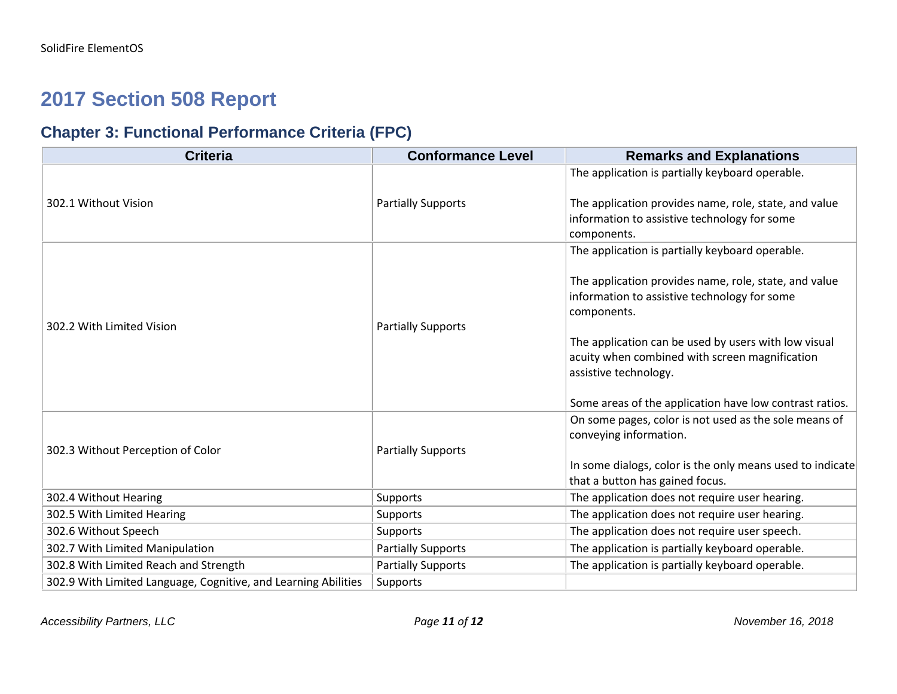### **2017 Section 508 Report**

### **Chapter 3: Functional Performance Criteria (FPC)**

| <b>Criteria</b>                                                | <b>Conformance Level</b>  | <b>Remarks and Explanations</b>                                                                                                 |
|----------------------------------------------------------------|---------------------------|---------------------------------------------------------------------------------------------------------------------------------|
|                                                                |                           | The application is partially keyboard operable.                                                                                 |
| 302.1 Without Vision                                           | <b>Partially Supports</b> | The application provides name, role, state, and value<br>information to assistive technology for some<br>components.            |
|                                                                |                           | The application is partially keyboard operable.                                                                                 |
| 302.2 With Limited Vision                                      | <b>Partially Supports</b> | The application provides name, role, state, and value<br>information to assistive technology for some<br>components.            |
|                                                                |                           | The application can be used by users with low visual<br>acuity when combined with screen magnification<br>assistive technology. |
|                                                                |                           | Some areas of the application have low contrast ratios.                                                                         |
| 302.3 Without Perception of Color                              | <b>Partially Supports</b> | On some pages, color is not used as the sole means of<br>conveying information.                                                 |
|                                                                |                           | In some dialogs, color is the only means used to indicate<br>that a button has gained focus.                                    |
| 302.4 Without Hearing                                          | <b>Supports</b>           | The application does not require user hearing.                                                                                  |
| 302.5 With Limited Hearing                                     | Supports                  | The application does not require user hearing.                                                                                  |
| 302.6 Without Speech                                           | <b>Supports</b>           | The application does not require user speech.                                                                                   |
| 302.7 With Limited Manipulation                                | <b>Partially Supports</b> | The application is partially keyboard operable.                                                                                 |
| 302.8 With Limited Reach and Strength                          | <b>Partially Supports</b> | The application is partially keyboard operable.                                                                                 |
| 302.9 With Limited Language, Cognitive, and Learning Abilities | Supports                  |                                                                                                                                 |